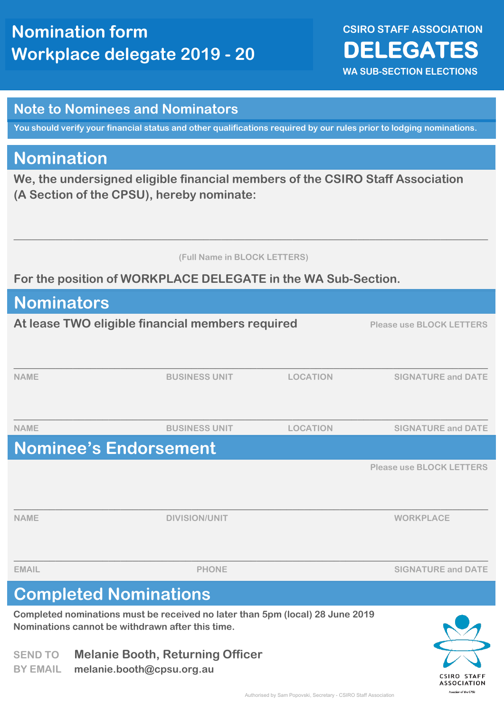**CSIRO STAFF ASSOCIATION DELEGATES WA SUB-SECTION ELECTIONS** 

#### **Note to Nominees and Nominators**

**You should verify your financial status and other qualifications required by our rules prior to lodging nominations.**

### **Nomination**

**We, the undersigned eligible financial members of the CSIRO Staff Association (A Section of the CPSU), hereby nominate:**

 **(Full Name in BLOCK LETTERS)**

**\_\_\_\_\_\_\_\_\_\_\_\_\_\_\_\_\_\_\_\_\_\_\_\_\_\_\_\_\_\_\_\_\_\_\_\_\_\_\_\_\_\_\_\_\_\_\_\_\_\_\_\_\_\_\_\_\_\_\_\_\_\_\_\_\_\_\_\_\_\_\_\_\_\_\_\_\_\_\_\_**

#### **For the position of WORKPLACE DELEGATE in the WA Sub-Section.**

| <b>Nominators</b>                                |                                                                                                                                   |                 |                                 |
|--------------------------------------------------|-----------------------------------------------------------------------------------------------------------------------------------|-----------------|---------------------------------|
| At lease TWO eligible financial members required |                                                                                                                                   |                 | <b>Please use BLOCK LETTERS</b> |
| <b>NAME</b>                                      | <b>BUSINESS UNIT</b>                                                                                                              | <b>LOCATION</b> | <b>SIGNATURE and DATE</b>       |
| <b>NAME</b>                                      | <b>BUSINESS UNIT</b>                                                                                                              | <b>LOCATION</b> | <b>SIGNATURE and DATE</b>       |
|                                                  | <b>Nominee's Endorsement</b>                                                                                                      |                 |                                 |
|                                                  |                                                                                                                                   |                 | <b>Please use BLOCK LETTERS</b> |
| <b>NAME</b>                                      | <b>DIVISION/UNIT</b>                                                                                                              |                 | <b>WORKPLACE</b>                |
| <b>EMAIL</b>                                     | <b>PHONE</b>                                                                                                                      |                 | <b>SIGNATURE and DATE</b>       |
|                                                  | <b>Completed Nominations</b>                                                                                                      |                 |                                 |
|                                                  | Completed nominations must be received no later than 5pm (local) 28 June 2019<br>Nominations cannot be withdrawn after this time. |                 |                                 |

**SEND TO Melanie Booth, Returning Officer BY EMAIL melanie.booth@cpsu.org.au**